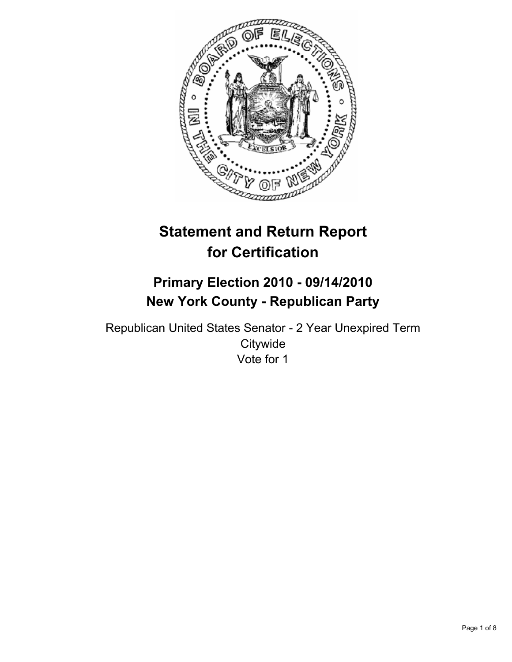

# **Statement and Return Report for Certification**

## **Primary Election 2010 - 09/14/2010 New York County - Republican Party**

Republican United States Senator - 2 Year Unexpired Term **Citywide** Vote for 1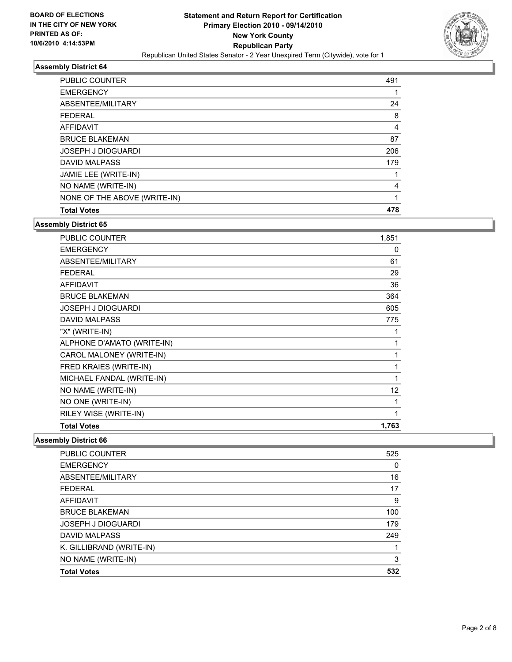

| <b>PUBLIC COUNTER</b>        | 491 |
|------------------------------|-----|
| <b>EMERGENCY</b>             |     |
| ABSENTEE/MILITARY            | 24  |
| <b>FEDERAL</b>               | 8   |
| AFFIDAVIT                    | 4   |
| <b>BRUCE BLAKEMAN</b>        | 87  |
| <b>JOSEPH J DIOGUARDI</b>    | 206 |
| <b>DAVID MALPASS</b>         | 179 |
| JAMIE LEE (WRITE-IN)         |     |
| NO NAME (WRITE-IN)           | 4   |
| NONE OF THE ABOVE (WRITE-IN) |     |
| <b>Total Votes</b>           | 478 |

**Assembly District 65**

| <b>PUBLIC COUNTER</b>      | 1,851 |
|----------------------------|-------|
| <b>EMERGENCY</b>           | 0     |
| ABSENTEE/MILITARY          | 61    |
| <b>FEDERAL</b>             | 29    |
| <b>AFFIDAVIT</b>           | 36    |
| <b>BRUCE BLAKEMAN</b>      | 364   |
| JOSEPH J DIOGUARDI         | 605   |
| <b>DAVID MALPASS</b>       | 775   |
| "X" (WRITE-IN)             | 1     |
| ALPHONE D'AMATO (WRITE-IN) | 1     |
| CAROL MALONEY (WRITE-IN)   | 1     |
| FRED KRAIES (WRITE-IN)     | 1     |
| MICHAEL FANDAL (WRITE-IN)  | 1     |
| NO NAME (WRITE-IN)         | 12    |
| NO ONE (WRITE-IN)          | 1     |
| RILEY WISE (WRITE-IN)      | 1     |
| <b>Total Votes</b>         | 1,763 |

| <b>PUBLIC COUNTER</b>     | 525 |
|---------------------------|-----|
| <b>EMERGENCY</b>          | 0   |
| ABSENTEE/MILITARY         | 16  |
| <b>FEDERAL</b>            | 17  |
| AFFIDAVIT                 | 9   |
| <b>BRUCE BLAKEMAN</b>     | 100 |
| <b>JOSEPH J DIOGUARDI</b> | 179 |
| <b>DAVID MALPASS</b>      | 249 |
| K. GILLIBRAND (WRITE-IN)  |     |
| NO NAME (WRITE-IN)        | 3   |
| <b>Total Votes</b>        | 532 |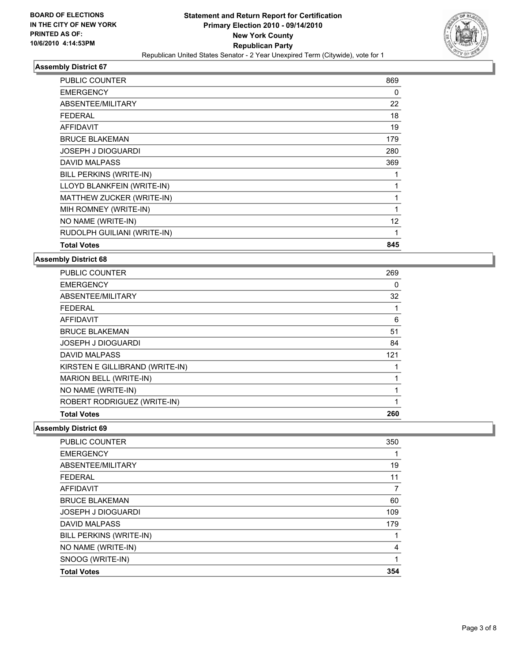

| <b>PUBLIC COUNTER</b>          | 869 |
|--------------------------------|-----|
| <b>EMERGENCY</b>               | 0   |
| <b>ABSENTEE/MILITARY</b>       | 22  |
| <b>FEDERAL</b>                 | 18  |
| <b>AFFIDAVIT</b>               | 19  |
| <b>BRUCE BLAKEMAN</b>          | 179 |
| <b>JOSEPH J DIOGUARDI</b>      | 280 |
| <b>DAVID MALPASS</b>           | 369 |
| <b>BILL PERKINS (WRITE-IN)</b> | 1   |
| LLOYD BLANKFEIN (WRITE-IN)     | 1   |
| MATTHEW ZUCKER (WRITE-IN)      | 1   |
| MIH ROMNEY (WRITE-IN)          | 1   |
| NO NAME (WRITE-IN)             | 12  |
| RUDOLPH GUILIANI (WRITE-IN)    | 1   |
| <b>Total Votes</b>             | 845 |

#### **Assembly District 68**

| <b>PUBLIC COUNTER</b>           | 269 |
|---------------------------------|-----|
| <b>EMERGENCY</b>                | 0   |
| ABSENTEE/MILITARY               | 32  |
| <b>FEDERAL</b>                  | 1   |
| <b>AFFIDAVIT</b>                | 6   |
| <b>BRUCE BLAKEMAN</b>           | 51  |
| <b>JOSEPH J DIOGUARDI</b>       | 84  |
| <b>DAVID MALPASS</b>            | 121 |
| KIRSTEN E GILLIBRAND (WRITE-IN) |     |
| MARION BELL (WRITE-IN)          |     |
| NO NAME (WRITE-IN)              | 1   |
| ROBERT RODRIGUEZ (WRITE-IN)     | 1   |
| <b>Total Votes</b>              | 260 |

| <b>PUBLIC COUNTER</b>     | 350 |
|---------------------------|-----|
| <b>EMERGENCY</b>          | 1   |
| ABSENTEE/MILITARY         | 19  |
| <b>FEDERAL</b>            | 11  |
| AFFIDAVIT                 | 7   |
| <b>BRUCE BLAKEMAN</b>     | 60  |
| <b>JOSEPH J DIOGUARDI</b> | 109 |
| <b>DAVID MALPASS</b>      | 179 |
| BILL PERKINS (WRITE-IN)   |     |
| NO NAME (WRITE-IN)        | 4   |
| SNOOG (WRITE-IN)          | 1   |
| <b>Total Votes</b>        | 354 |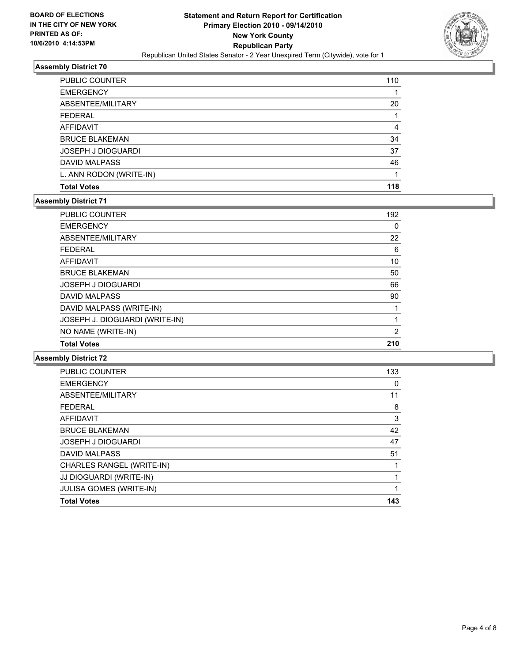

| PUBLIC COUNTER            | 110 |
|---------------------------|-----|
| <b>EMERGENCY</b>          |     |
| ABSENTEE/MILITARY         | 20  |
| <b>FEDERAL</b>            |     |
| AFFIDAVIT                 | 4   |
| <b>BRUCE BLAKEMAN</b>     | 34  |
| <b>JOSEPH J DIOGUARDI</b> | 37  |
| <b>DAVID MALPASS</b>      | 46  |
| L. ANN RODON (WRITE-IN)   |     |
| <b>Total Votes</b>        | 118 |

#### **Assembly District 71**

| <b>PUBLIC COUNTER</b>          | 192 |
|--------------------------------|-----|
| <b>EMERGENCY</b>               | 0   |
| ABSENTEE/MILITARY              | 22  |
| <b>FEDERAL</b>                 | 6   |
| <b>AFFIDAVIT</b>               | 10  |
| <b>BRUCE BLAKEMAN</b>          | 50  |
| <b>JOSEPH J DIOGUARDI</b>      | 66  |
| <b>DAVID MALPASS</b>           | 90  |
| DAVID MALPASS (WRITE-IN)       |     |
| JOSEPH J. DIOGUARDI (WRITE-IN) |     |
| NO NAME (WRITE-IN)             | 2   |
| <b>Total Votes</b>             | 210 |
|                                |     |

| <b>PUBLIC COUNTER</b>     | 133 |
|---------------------------|-----|
| <b>EMERGENCY</b>          | 0   |
| ABSENTEE/MILITARY         | 11  |
| <b>FEDERAL</b>            | 8   |
| <b>AFFIDAVIT</b>          | 3   |
| <b>BRUCE BLAKEMAN</b>     | 42  |
| <b>JOSEPH J DIOGUARDI</b> | 47  |
| <b>DAVID MALPASS</b>      | 51  |
| CHARLES RANGEL (WRITE-IN) |     |
| JJ DIOGUARDI (WRITE-IN)   |     |
| JULISA GOMES (WRITE-IN)   | 1   |
| <b>Total Votes</b>        | 143 |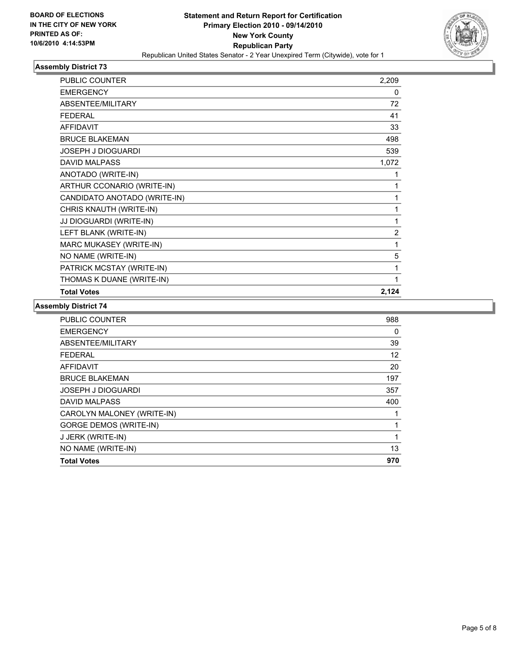

| PUBLIC COUNTER               | 2,209          |
|------------------------------|----------------|
| <b>EMERGENCY</b>             | 0              |
| ABSENTEE/MILITARY            | 72             |
| <b>FEDERAL</b>               | 41             |
| <b>AFFIDAVIT</b>             | 33             |
| <b>BRUCE BLAKEMAN</b>        | 498            |
| <b>JOSEPH J DIOGUARDI</b>    | 539            |
| <b>DAVID MALPASS</b>         | 1,072          |
| ANOTADO (WRITE-IN)           | 1              |
| ARTHUR CCONARIO (WRITE-IN)   | 1              |
| CANDIDATO ANOTADO (WRITE-IN) | 1              |
| CHRIS KNAUTH (WRITE-IN)      | 1              |
| JJ DIOGUARDI (WRITE-IN)      | 1              |
| LEFT BLANK (WRITE-IN)        | $\overline{2}$ |
| MARC MUKASEY (WRITE-IN)      | 1              |
| NO NAME (WRITE-IN)           | 5              |
| PATRICK MCSTAY (WRITE-IN)    | 1              |
| THOMAS K DUANE (WRITE-IN)    | 1              |
| <b>Total Votes</b>           | 2,124          |

| PUBLIC COUNTER                | 988 |
|-------------------------------|-----|
| <b>EMERGENCY</b>              | 0   |
| ABSENTEE/MILITARY             | 39  |
| <b>FEDERAL</b>                | 12  |
| <b>AFFIDAVIT</b>              | 20  |
| <b>BRUCE BLAKEMAN</b>         | 197 |
| <b>JOSEPH J DIOGUARDI</b>     | 357 |
| <b>DAVID MALPASS</b>          | 400 |
| CAROLYN MALONEY (WRITE-IN)    | 1   |
| <b>GORGE DEMOS (WRITE-IN)</b> | 1   |
| J JERK (WRITE-IN)             | 1   |
| NO NAME (WRITE-IN)            | 13  |
| <b>Total Votes</b>            | 970 |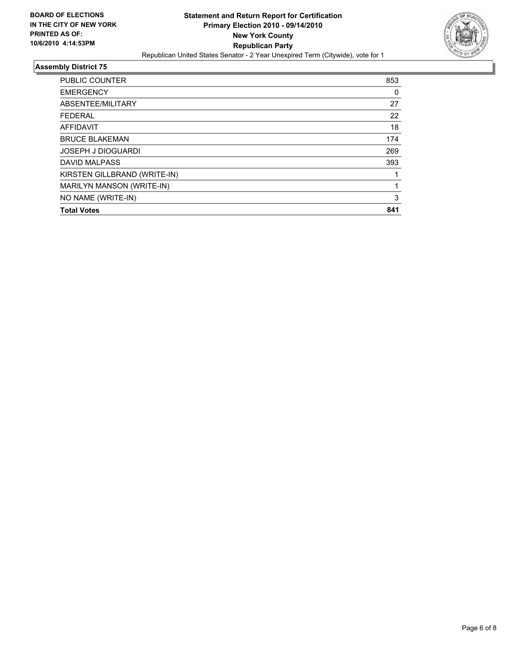

| <b>PUBLIC COUNTER</b>        | 853 |
|------------------------------|-----|
| <b>EMERGENCY</b>             | 0   |
| ABSENTEE/MILITARY            | 27  |
| <b>FEDERAL</b>               | 22  |
| AFFIDAVIT                    | 18  |
| <b>BRUCE BLAKEMAN</b>        | 174 |
| <b>JOSEPH J DIOGUARDI</b>    | 269 |
| <b>DAVID MALPASS</b>         | 393 |
| KIRSTEN GILLBRAND (WRITE-IN) |     |
| MARILYN MANSON (WRITE-IN)    |     |
| NO NAME (WRITE-IN)           | 3   |
| <b>Total Votes</b>           | 841 |
|                              |     |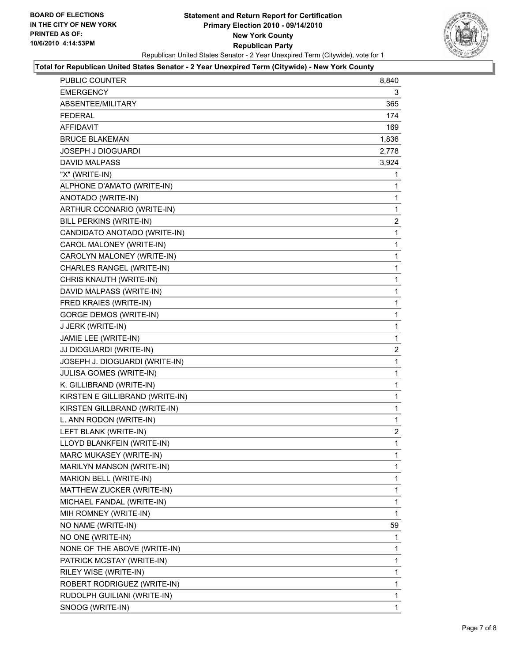

#### **Total for Republican United States Senator - 2 Year Unexpired Term (Citywide) - New York County**

| PUBLIC COUNTER                  | 8,840          |
|---------------------------------|----------------|
| EMERGENCY                       | 3              |
| ABSENTEE/MILITARY               | 365            |
| FEDERAL                         | 174            |
| AFFIDAVIT                       | 169            |
| <b>BRUCE BLAKEMAN</b>           | 1,836          |
| <b>JOSEPH J DIOGUARDI</b>       | 2,778          |
| <b>DAVID MALPASS</b>            | 3,924          |
| "X" (WRITE-IN)                  | 1              |
| ALPHONE D'AMATO (WRITE-IN)      | 1              |
| ANOTADO (WRITE-IN)              | 1              |
| ARTHUR CCONARIO (WRITE-IN)      | 1              |
| BILL PERKINS (WRITE-IN)         | 2              |
| CANDIDATO ANOTADO (WRITE-IN)    | 1              |
| CAROL MALONEY (WRITE-IN)        | 1              |
| CAROLYN MALONEY (WRITE-IN)      | 1              |
| CHARLES RANGEL (WRITE-IN)       | 1              |
| CHRIS KNAUTH (WRITE-IN)         | 1              |
| DAVID MALPASS (WRITE-IN)        | 1              |
| FRED KRAIES (WRITE-IN)          | 1              |
| <b>GORGE DEMOS (WRITE-IN)</b>   | 1              |
| J JERK (WRITE-IN)               | 1              |
| JAMIE LEE (WRITE-IN)            | 1              |
| JJ DIOGUARDI (WRITE-IN)         | 2              |
| JOSEPH J. DIOGUARDI (WRITE-IN)  | 1              |
| JULISA GOMES (WRITE-IN)         | 1              |
| K. GILLIBRAND (WRITE-IN)        | 1              |
| KIRSTEN E GILLIBRAND (WRITE-IN) | 1              |
| KIRSTEN GILLBRAND (WRITE-IN)    | 1              |
| L. ANN RODON (WRITE-IN)         | 1              |
| LEFT BLANK (WRITE-IN)           | $\overline{2}$ |
| LLOYD BLANKFEIN (WRITE-IN)      | $\mathbf{1}$   |
| MARC MUKASEY (WRITE-IN)         | 1              |
| MARILYN MANSON (WRITE-IN)       | 1              |
| MARION BELL (WRITE-IN)          | 1              |
| MATTHEW ZUCKER (WRITE-IN)       | 1              |
| MICHAEL FANDAL (WRITE-IN)       | 1              |
| MIH ROMNEY (WRITE-IN)           | 1              |
| NO NAME (WRITE-IN)              | 59             |
| NO ONE (WRITE-IN)               | 1              |
| NONE OF THE ABOVE (WRITE-IN)    | 1              |
| PATRICK MCSTAY (WRITE-IN)       | 1              |
| RILEY WISE (WRITE-IN)           | 1              |
| ROBERT RODRIGUEZ (WRITE-IN)     | 1              |
| RUDOLPH GUILIANI (WRITE-IN)     | 1              |
| SNOOG (WRITE-IN)                | $\mathbf{1}$   |
|                                 |                |